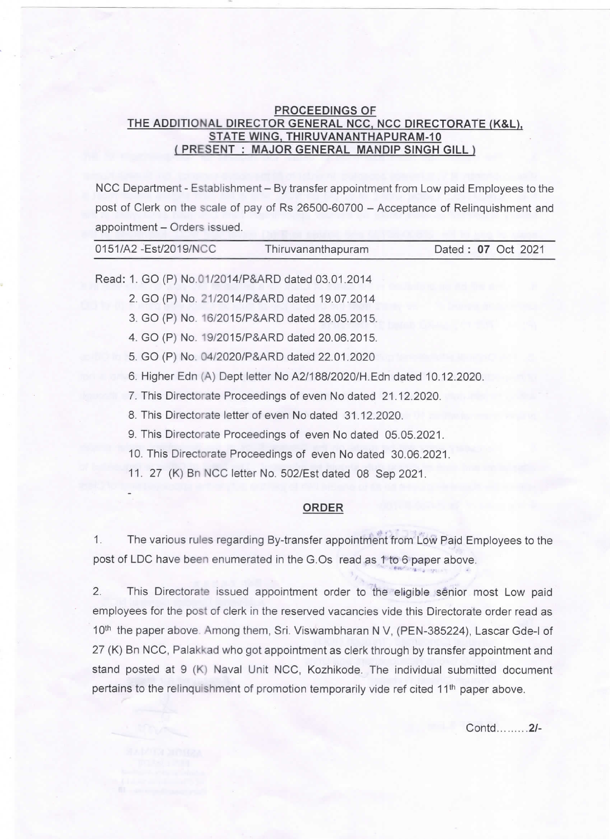## PROCEEDINGS OF THE ADDITIONAL DIRECTOR GENERAL NCC, NCC DIRECTORATE (K&L), STATE WING, THIRUVANANTHAPURAM-10 ( PRESENT : MAJOR GENERAL MANDIP SINGH GILL )

NCC Department - Establishment - By transfer appointment from Low paid Employees to the post of Clerk on the scale of pay of Rs 26500-60700 - Acceptance of Relinquishment and appointment - Orders issued.

| 0151/A2 - Est/2019/NCC                                        | Thiruvananthapuram                                                                                                                                                                                                                                                                                                                                                | Dated: 07 Oct 2021 |
|---------------------------------------------------------------|-------------------------------------------------------------------------------------------------------------------------------------------------------------------------------------------------------------------------------------------------------------------------------------------------------------------------------------------------------------------|--------------------|
|                                                               | Read: 1. GO (P) No.01/2014/P&ARD dated 03.01.2014                                                                                                                                                                                                                                                                                                                 |                    |
|                                                               | 2. GO (P) No. 21/2014/P&ARD dated 19.07.2014                                                                                                                                                                                                                                                                                                                      |                    |
|                                                               | 3. GO (P) No. 16/2015/P&ARD dated 28.05.2015.                                                                                                                                                                                                                                                                                                                     |                    |
|                                                               | 4. GO (P) No. 19/2015/P&ARD dated 20.06.2015.                                                                                                                                                                                                                                                                                                                     |                    |
|                                                               | 5. GO (P) No. 04/2020/P&ARD dated 22.01.2020                                                                                                                                                                                                                                                                                                                      |                    |
|                                                               | 6. Higher Edn (A) Dept letter No A2/188/2020/H. Edn dated 10.12.2020.                                                                                                                                                                                                                                                                                             |                    |
| 7. This Directorate Proceedings of even No dated 21.12.2020.  |                                                                                                                                                                                                                                                                                                                                                                   |                    |
|                                                               | 8. This Directorate letter of even No dated 31.12.2020.                                                                                                                                                                                                                                                                                                           |                    |
|                                                               | 9. This Directorate Proceedings of even No dated 05.05.2021.                                                                                                                                                                                                                                                                                                      |                    |
| 10. This Directorate Proceedings of even No dated 30.06.2021. |                                                                                                                                                                                                                                                                                                                                                                   |                    |
|                                                               | 11. 27 (K) Bn NCC letter No. 502/Est dated 08 Sep 2021.                                                                                                                                                                                                                                                                                                           |                    |
|                                                               | <b>ORDER</b>                                                                                                                                                                                                                                                                                                                                                      |                    |
|                                                               | $\mathbf{F}_{\mathbf{b}}$ and $\mathbf{F}_{\mathbf{b}}$ and $\mathbf{F}_{\mathbf{b}}$ and $\mathbf{F}_{\mathbf{b}}$ and $\mathbf{F}_{\mathbf{b}}$ and $\mathbf{F}_{\mathbf{b}}$ and $\mathbf{F}_{\mathbf{b}}$ and $\mathbf{F}_{\mathbf{b}}$ and $\mathbf{F}_{\mathbf{b}}$ and $\mathbf{F}_{\mathbf{b}}$ and $\mathbf{F}_{\mathbf{b}}$ and $\mathbf{F}_{\mathbf{b$ |                    |

1. The various rules regarding By-transfer appointment from Low paid Employees to the post of LDC have been enumerated in the G.Os read as 1 to 6 paper above. tl- 3 . ,`

2. This Directorate issued appointment order to the eligible senior most Low paid employees for the post of clerk in the reserved vacancies vide this Directorate order read as 10<sup>th</sup> the paper above. Among them, Sri. Viswambharan N V, (PEN-385224), Lascar Gde-I of 27 (K) Bn NCC, Palakkad who got appointment as clerk through by transfer appointment and stand posted at 9 (K) Naval Unit NCC, Kozhikode. The individual submitted document pertains to the relinquishment of promotion temporarily vide ref cited 11<sup>th</sup> paper above.

Contd.........2/-